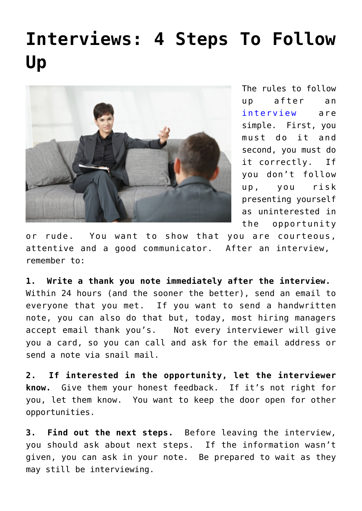## **[Interviews: 4 Steps To Follow](https://www.commpro.biz/interviews-4-steps-to-follow-up/) [Up](https://www.commpro.biz/interviews-4-steps-to-follow-up/)**



The rules to follow up after an [interview](https://www.commpro.biz/?s=interview) are simple. First, you must do it and second, you must do it correctly. If you don't follow up, you risk presenting yourself as uninterested in the opportunity

or rude. You want to show that you are courteous, attentive and a good communicator. After an interview, remember to:

**1. Write a thank you note immediately after the interview.**  Within 24 hours (and the sooner the better), send an email to everyone that you met. If you want to send a handwritten note, you can also do that but, today, most hiring managers accept email thank you's. Not every interviewer will give you a card, so you can call and ask for the email address or send a note via snail mail.

**2. If interested in the opportunity, let the interviewer know.** Give them your honest feedback. If it's not right for you, let them know. You want to keep the door open for other opportunities.

**3. Find out the next steps.** Before leaving the interview, you should ask about next steps. If the information wasn't given, you can ask in your note. Be prepared to wait as they may still be interviewing.